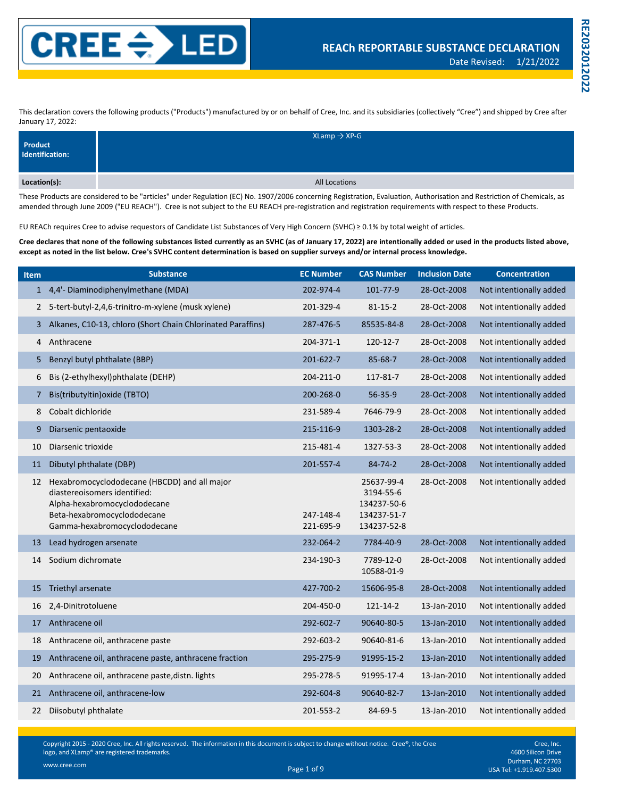

**RE2032012022**

**RE2032012022** 

This declaration covers the following products ("Products") manufactured by or on behalf of Cree, Inc. and its subsidiaries (collectively "Cree") and shipped by Cree after January 17, 2022:

| Product<br>Identification: | $X$ Lamp $\rightarrow$ XP-G |
|----------------------------|-----------------------------|
| Location(s):               | All Locations               |

These Products are considered to be "articles" under Regulation (EC) No. 1907/2006 concerning Registration, Evaluation, Authorisation and Restriction of Chemicals, as amended through June 2009 ("EU REACH"). Cree is not subject to the EU REACH pre-registration and registration requirements with respect to these Products.

EU REACh requires Cree to advise requestors of Candidate List Substances of Very High Concern (SVHC) ≥ 0.1% by total weight of articles.

**Cree declares that none of the following substances listed currently as an SVHC (as of January 17, 2022) are intentionally added or used in the products listed above, except as noted in the list below. Cree's SVHC content determination is based on supplier surveys and/or internal process knowledge.**

| <b>Item</b>  | <b>Substance</b>                                                                                                                                                            | <b>EC Number</b>       | <b>CAS Number</b>                                                    | <b>Inclusion Date</b> | <b>Concentration</b>    |
|--------------|-----------------------------------------------------------------------------------------------------------------------------------------------------------------------------|------------------------|----------------------------------------------------------------------|-----------------------|-------------------------|
|              | 1 4,4'- Diaminodiphenylmethane (MDA)                                                                                                                                        | 202-974-4              | 101-77-9                                                             | 28-Oct-2008           | Not intentionally added |
| $\mathbf{2}$ | 5-tert-butyl-2,4,6-trinitro-m-xylene (musk xylene)                                                                                                                          | 201-329-4              | $81 - 15 - 2$                                                        | 28-Oct-2008           | Not intentionally added |
| 3            | Alkanes, C10-13, chloro (Short Chain Chlorinated Paraffins)                                                                                                                 | 287-476-5              | 85535-84-8                                                           | 28-Oct-2008           | Not intentionally added |
| 4            | Anthracene                                                                                                                                                                  | 204-371-1              | 120-12-7                                                             | 28-Oct-2008           | Not intentionally added |
| 5            | Benzyl butyl phthalate (BBP)                                                                                                                                                | 201-622-7              | 85-68-7                                                              | 28-Oct-2008           | Not intentionally added |
| 6            | Bis (2-ethylhexyl)phthalate (DEHP)                                                                                                                                          | 204-211-0              | 117-81-7                                                             | 28-Oct-2008           | Not intentionally added |
| 7            | Bis(tributyltin) oxide (TBTO)                                                                                                                                               | 200-268-0              | 56-35-9                                                              | 28-Oct-2008           | Not intentionally added |
| 8            | Cobalt dichloride                                                                                                                                                           | 231-589-4              | 7646-79-9                                                            | 28-Oct-2008           | Not intentionally added |
| 9            | Diarsenic pentaoxide                                                                                                                                                        | 215-116-9              | 1303-28-2                                                            | 28-Oct-2008           | Not intentionally added |
| 10           | Diarsenic trioxide                                                                                                                                                          | 215-481-4              | 1327-53-3                                                            | 28-Oct-2008           | Not intentionally added |
| 11           | Dibutyl phthalate (DBP)                                                                                                                                                     | 201-557-4              | 84-74-2                                                              | 28-Oct-2008           | Not intentionally added |
| 12           | Hexabromocyclododecane (HBCDD) and all major<br>diastereoisomers identified:<br>Alpha-hexabromocyclododecane<br>Beta-hexabromocyclododecane<br>Gamma-hexabromocyclododecane | 247-148-4<br>221-695-9 | 25637-99-4<br>3194-55-6<br>134237-50-6<br>134237-51-7<br>134237-52-8 | 28-Oct-2008           | Not intentionally added |
| 13           | Lead hydrogen arsenate                                                                                                                                                      | 232-064-2              | 7784-40-9                                                            | 28-Oct-2008           | Not intentionally added |
| 14           | Sodium dichromate                                                                                                                                                           | 234-190-3              | 7789-12-0<br>10588-01-9                                              | 28-Oct-2008           | Not intentionally added |
| 15           | Triethyl arsenate                                                                                                                                                           | 427-700-2              | 15606-95-8                                                           | 28-Oct-2008           | Not intentionally added |
| 16           | 2,4-Dinitrotoluene                                                                                                                                                          | 204-450-0              | 121-14-2                                                             | 13-Jan-2010           | Not intentionally added |
| 17           | Anthracene oil                                                                                                                                                              | 292-602-7              | 90640-80-5                                                           | 13-Jan-2010           | Not intentionally added |
| 18           | Anthracene oil, anthracene paste                                                                                                                                            | 292-603-2              | 90640-81-6                                                           | 13-Jan-2010           | Not intentionally added |
| 19           | Anthracene oil, anthracene paste, anthracene fraction                                                                                                                       | 295-275-9              | 91995-15-2                                                           | 13-Jan-2010           | Not intentionally added |
| 20           | Anthracene oil, anthracene paste, distn. lights                                                                                                                             | 295-278-5              | 91995-17-4                                                           | 13-Jan-2010           | Not intentionally added |
| 21           | Anthracene oil, anthracene-low                                                                                                                                              | 292-604-8              | 90640-82-7                                                           | 13-Jan-2010           | Not intentionally added |
| 22           | Diisobutyl phthalate                                                                                                                                                        | 201-553-2              | 84-69-5                                                              | 13-Jan-2010           | Not intentionally added |

Copyright 2015 - 2020 Cree, Inc. All rights reserved. The information in this document is subject to change without notice. Cree®, the Cree logo, and XLamp® are registered trademarks.

Cree, Inc. 4600 Silicon Drive Durham, NC 27703 Page 1 of 9 USA Tel: +1.919.407.5300 www.cree.com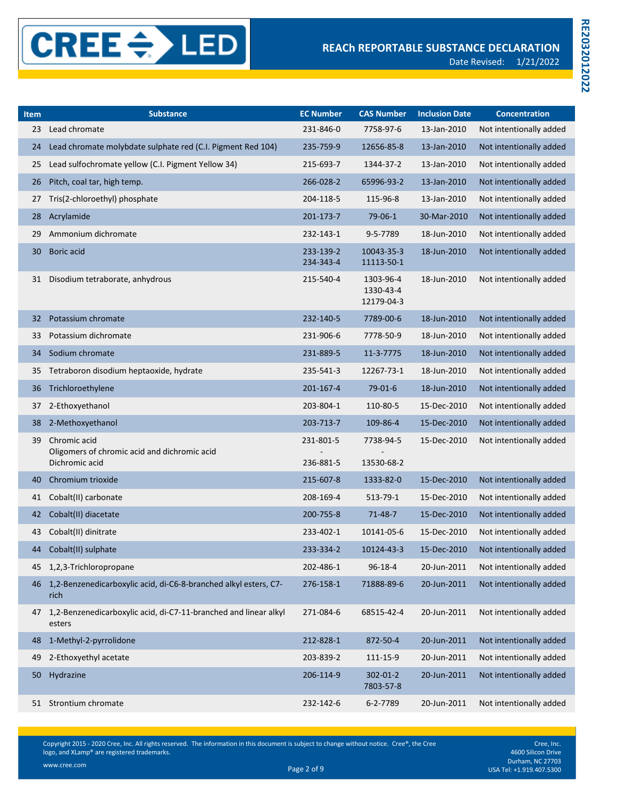| Item | <b>Substance</b>                                                               | <b>EC Number</b>       | <b>CAS Number</b>                    | <b>Inclusion Date</b> | <b>Concentration</b>    |
|------|--------------------------------------------------------------------------------|------------------------|--------------------------------------|-----------------------|-------------------------|
| 23   | Lead chromate                                                                  | 231-846-0              | 7758-97-6                            | 13-Jan-2010           | Not intentionally added |
| 24   | Lead chromate molybdate sulphate red (C.I. Pigment Red 104)                    | 235-759-9              | 12656-85-8                           | 13-Jan-2010           | Not intentionally added |
| 25   | Lead sulfochromate yellow (C.I. Pigment Yellow 34)                             | 215-693-7              | 1344-37-2                            | 13-Jan-2010           | Not intentionally added |
| 26   | Pitch, coal tar, high temp.                                                    | 266-028-2              | 65996-93-2                           | 13-Jan-2010           | Not intentionally added |
| 27   | Tris(2-chloroethyl) phosphate                                                  | 204-118-5              | 115-96-8                             | 13-Jan-2010           | Not intentionally added |
| 28   | Acrylamide                                                                     | 201-173-7              | 79-06-1                              | 30-Mar-2010           | Not intentionally added |
| 29   | Ammonium dichromate                                                            | 232-143-1              | 9-5-7789                             | 18-Jun-2010           | Not intentionally added |
| 30   | Boric acid                                                                     | 233-139-2<br>234-343-4 | 10043-35-3<br>11113-50-1             | 18-Jun-2010           | Not intentionally added |
| 31   | Disodium tetraborate, anhydrous                                                | 215-540-4              | 1303-96-4<br>1330-43-4<br>12179-04-3 | 18-Jun-2010           | Not intentionally added |
| 32   | Potassium chromate                                                             | 232-140-5              | 7789-00-6                            | 18-Jun-2010           | Not intentionally added |
| 33   | Potassium dichromate                                                           | 231-906-6              | 7778-50-9                            | 18-Jun-2010           | Not intentionally added |
| 34   | Sodium chromate                                                                | 231-889-5              | 11-3-7775                            | 18-Jun-2010           | Not intentionally added |
| 35   | Tetraboron disodium heptaoxide, hydrate                                        | 235-541-3              | 12267-73-1                           | 18-Jun-2010           | Not intentionally added |
| 36   | Trichloroethylene                                                              | 201-167-4              | $79-01-6$                            | 18-Jun-2010           | Not intentionally added |
| 37   | 2-Ethoxyethanol                                                                | 203-804-1              | 110-80-5                             | 15-Dec-2010           | Not intentionally added |
| 38   | 2-Methoxyethanol                                                               | 203-713-7              | 109-86-4                             | 15-Dec-2010           | Not intentionally added |
| 39   | Chromic acid<br>Oligomers of chromic acid and dichromic acid<br>Dichromic acid | 231-801-5<br>236-881-5 | 7738-94-5<br>13530-68-2              | 15-Dec-2010           | Not intentionally added |
| 40   | Chromium trioxide                                                              | 215-607-8              | 1333-82-0                            | 15-Dec-2010           | Not intentionally added |
| 41   | Cobalt(II) carbonate                                                           | 208-169-4              | 513-79-1                             | 15-Dec-2010           | Not intentionally added |
| 42   | Cobalt(II) diacetate                                                           | 200-755-8              | 71-48-7                              | 15-Dec-2010           | Not intentionally added |
| 43   | Cobalt(II) dinitrate                                                           | 233-402-1              | 10141-05-6                           | 15-Dec-2010           | Not intentionally added |
| 44   | Cobalt(II) sulphate                                                            | 233-334-2              | 10124-43-3                           | 15-Dec-2010           | Not intentionally added |
|      | 45 1,2,3-Trichloropropane                                                      | 202-486-1              | $96 - 18 - 4$                        | 20-Jun-2011           | Not intentionally added |
|      | 46 1,2-Benzenedicarboxylic acid, di-C6-8-branched alkyl esters, C7-<br>rich    | 276-158-1              | 71888-89-6                           | 20-Jun-2011           | Not intentionally added |
| 47   | 1,2-Benzenedicarboxylic acid, di-C7-11-branched and linear alkyl<br>esters     | 271-084-6              | 68515-42-4                           | 20-Jun-2011           | Not intentionally added |
| 48   | 1-Methyl-2-pyrrolidone                                                         | 212-828-1              | 872-50-4                             | 20-Jun-2011           | Not intentionally added |
| 49   | 2-Ethoxyethyl acetate                                                          | 203-839-2              | 111-15-9                             | 20-Jun-2011           | Not intentionally added |
| 50   | Hydrazine                                                                      | 206-114-9              | $302 - 01 - 2$<br>7803-57-8          | 20-Jun-2011           | Not intentionally added |
|      | 51 Strontium chromate                                                          | 232-142-6              | 6-2-7789                             | 20-Jun-2011           | Not intentionally added |

Cree, Inc. 4600 Silicon Drive Durham, NC 27703 Page 2 of 9 USA Tel: +1.919.407.5300 www.cree.com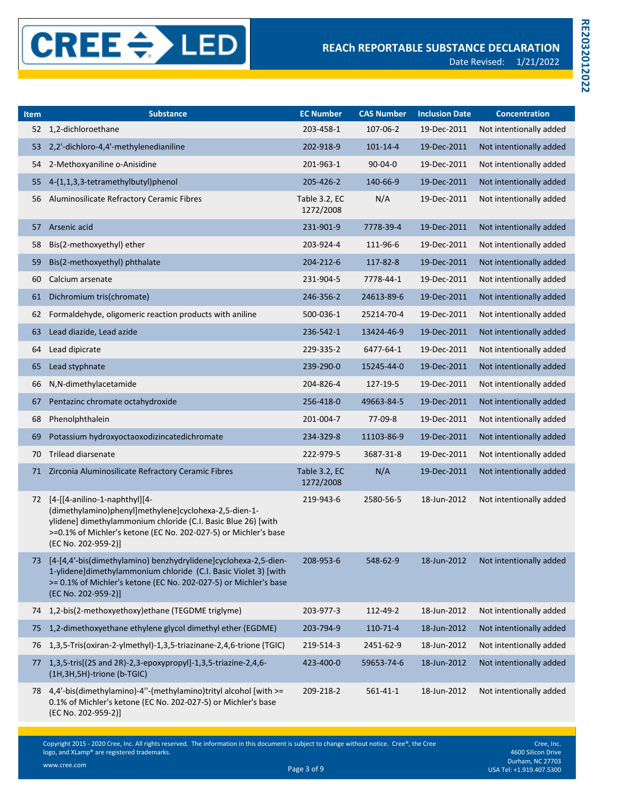| <b>Item</b> | <b>Substance</b>                                                                                                                                                                                                                                  | <b>EC Number</b>           | <b>CAS Number</b> | <b>Inclusion Date</b> | <b>Concentration</b>    |
|-------------|---------------------------------------------------------------------------------------------------------------------------------------------------------------------------------------------------------------------------------------------------|----------------------------|-------------------|-----------------------|-------------------------|
| 52          | 1,2-dichloroethane                                                                                                                                                                                                                                | 203-458-1                  | 107-06-2          | 19-Dec-2011           | Not intentionally added |
| 53          | 2,2'-dichloro-4,4'-methylenedianiline                                                                                                                                                                                                             | 202-918-9                  | $101 - 14 - 4$    | 19-Dec-2011           | Not intentionally added |
| 54          | 2-Methoxyaniline o-Anisidine                                                                                                                                                                                                                      | 201-963-1                  | $90 - 04 - 0$     | 19-Dec-2011           | Not intentionally added |
| 55          | 4-(1,1,3,3-tetramethylbutyl)phenol                                                                                                                                                                                                                | 205-426-2                  | 140-66-9          | 19-Dec-2011           | Not intentionally added |
| 56          | Aluminosilicate Refractory Ceramic Fibres                                                                                                                                                                                                         | Table 3.2, EC<br>1272/2008 | N/A               | 19-Dec-2011           | Not intentionally added |
| 57          | Arsenic acid                                                                                                                                                                                                                                      | 231-901-9                  | 7778-39-4         | 19-Dec-2011           | Not intentionally added |
| 58          | Bis(2-methoxyethyl) ether                                                                                                                                                                                                                         | 203-924-4                  | 111-96-6          | 19-Dec-2011           | Not intentionally added |
| 59          | Bis(2-methoxyethyl) phthalate                                                                                                                                                                                                                     | 204-212-6                  | 117-82-8          | 19-Dec-2011           | Not intentionally added |
| 60          | Calcium arsenate                                                                                                                                                                                                                                  | 231-904-5                  | 7778-44-1         | 19-Dec-2011           | Not intentionally added |
| 61          | Dichromium tris(chromate)                                                                                                                                                                                                                         | 246-356-2                  | 24613-89-6        | 19-Dec-2011           | Not intentionally added |
| 62          | Formaldehyde, oligomeric reaction products with aniline                                                                                                                                                                                           | 500-036-1                  | 25214-70-4        | 19-Dec-2011           | Not intentionally added |
| 63          | Lead diazide, Lead azide                                                                                                                                                                                                                          | 236-542-1                  | 13424-46-9        | 19-Dec-2011           | Not intentionally added |
| 64          | Lead dipicrate                                                                                                                                                                                                                                    | 229-335-2                  | 6477-64-1         | 19-Dec-2011           | Not intentionally added |
| 65          | Lead styphnate                                                                                                                                                                                                                                    | 239-290-0                  | 15245-44-0        | 19-Dec-2011           | Not intentionally added |
| 66          | N,N-dimethylacetamide                                                                                                                                                                                                                             | 204-826-4                  | 127-19-5          | 19-Dec-2011           | Not intentionally added |
| 67          | Pentazinc chromate octahydroxide                                                                                                                                                                                                                  | 256-418-0                  | 49663-84-5        | 19-Dec-2011           | Not intentionally added |
| 68          | Phenolphthalein                                                                                                                                                                                                                                   | 201-004-7                  | 77-09-8           | 19-Dec-2011           | Not intentionally added |
| 69          | Potassium hydroxyoctaoxodizincatedichromate                                                                                                                                                                                                       | 234-329-8                  | 11103-86-9        | 19-Dec-2011           | Not intentionally added |
| 70          | <b>Trilead diarsenate</b>                                                                                                                                                                                                                         | 222-979-5                  | 3687-31-8         | 19-Dec-2011           | Not intentionally added |
| 71          | Zirconia Aluminosilicate Refractory Ceramic Fibres                                                                                                                                                                                                | Table 3.2, EC<br>1272/2008 | N/A               | 19-Dec-2011           | Not intentionally added |
| 72          | [4-[[4-anilino-1-naphthyl][4-<br>(dimethylamino)phenyl]methylene]cyclohexa-2,5-dien-1-<br>ylidene] dimethylammonium chloride (C.I. Basic Blue 26) [with<br>>=0.1% of Michler's ketone (EC No. 202-027-5) or Michler's base<br>(EC No. 202-959-2)] | 219-943-6                  | 2580-56-5         | 18-Jun-2012           | Not intentionally added |
| 73          | [4-[4,4'-bis(dimethylamino) benzhydrylidene]cyclohexa-2,5-dien-<br>1-ylidene]dimethylammonium chloride (C.I. Basic Violet 3) [with<br>>= 0.1% of Michler's ketone (EC No. 202-027-5) or Michler's base<br>(EC No. 202-959-2)]                     | 208-953-6                  | 548-62-9          | 18-Jun-2012           | Not intentionally added |
| 74          | 1,2-bis(2-methoxyethoxy)ethane (TEGDME triglyme)                                                                                                                                                                                                  | 203-977-3                  | 112-49-2          | 18-Jun-2012           | Not intentionally added |
| 75          | 1,2-dimethoxyethane ethylene glycol dimethyl ether (EGDME)                                                                                                                                                                                        | 203-794-9                  | 110-71-4          | 18-Jun-2012           | Not intentionally added |
| 76          | 1,3,5-Tris(oxiran-2-ylmethyl)-1,3,5-triazinane-2,4,6-trione (TGIC)                                                                                                                                                                                | 219-514-3                  | 2451-62-9         | 18-Jun-2012           | Not intentionally added |
| 77          | 1,3,5-tris[(2S and 2R)-2,3-epoxypropyl]-1,3,5-triazine-2,4,6-<br>(1H, 3H, 5H)-trione (b-TGIC)                                                                                                                                                     | 423-400-0                  | 59653-74-6        | 18-Jun-2012           | Not intentionally added |
|             | 78 4,4'-bis(dimethylamino)-4"-(methylamino)trityl alcohol [with >=<br>0.1% of Michler's ketone (EC No. 202-027-5) or Michler's base<br>(EC No. 202-959-2)]                                                                                        | 209-218-2                  | $561 - 41 - 1$    | 18-Jun-2012           | Not intentionally added |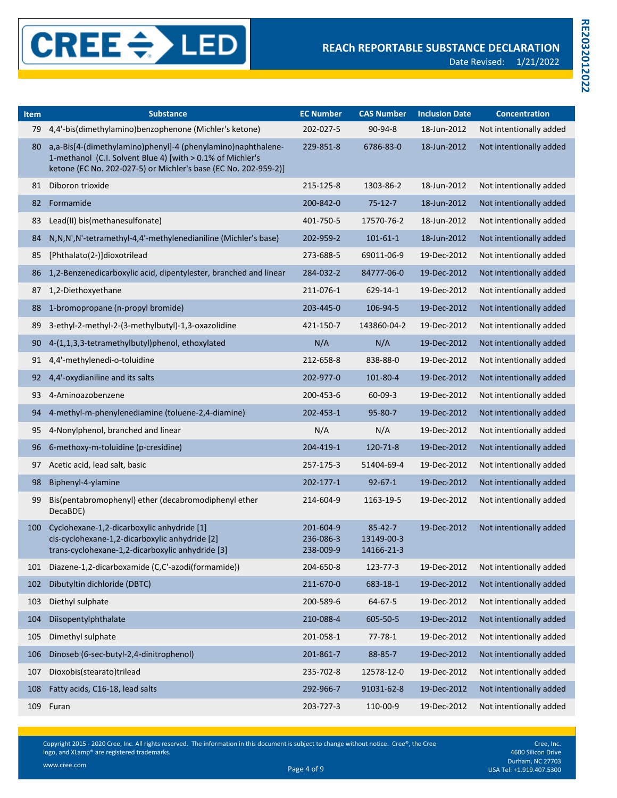

| Item | <b>Substance</b>                                                                                                                                                                              | <b>EC Number</b>                    | <b>CAS Number</b>                         | <b>Inclusion Date</b> | <b>Concentration</b>    |
|------|-----------------------------------------------------------------------------------------------------------------------------------------------------------------------------------------------|-------------------------------------|-------------------------------------------|-----------------------|-------------------------|
| 79   | 4,4'-bis(dimethylamino)benzophenone (Michler's ketone)                                                                                                                                        | 202-027-5                           | 90-94-8                                   | 18-Jun-2012           | Not intentionally added |
| 80   | a,a-Bis[4-(dimethylamino)phenyl]-4 (phenylamino)naphthalene-<br>1-methanol (C.I. Solvent Blue 4) [with > 0.1% of Michler's<br>ketone (EC No. 202-027-5) or Michler's base (EC No. 202-959-2)] | 229-851-8                           | 6786-83-0                                 | 18-Jun-2012           | Not intentionally added |
| 81   | Diboron trioxide                                                                                                                                                                              | 215-125-8                           | 1303-86-2                                 | 18-Jun-2012           | Not intentionally added |
| 82   | Formamide                                                                                                                                                                                     | 200-842-0                           | $75 - 12 - 7$                             | 18-Jun-2012           | Not intentionally added |
| 83   | Lead(II) bis(methanesulfonate)                                                                                                                                                                | 401-750-5                           | 17570-76-2                                | 18-Jun-2012           | Not intentionally added |
| 84   | N, N, N', N'-tetramethyl-4,4'-methylenedianiline (Michler's base)                                                                                                                             | 202-959-2                           | $101 - 61 - 1$                            | 18-Jun-2012           | Not intentionally added |
| 85   | [Phthalato(2-)]dioxotrilead                                                                                                                                                                   | 273-688-5                           | 69011-06-9                                | 19-Dec-2012           | Not intentionally added |
| 86   | 1,2-Benzenedicarboxylic acid, dipentylester, branched and linear                                                                                                                              | 284-032-2                           | 84777-06-0                                | 19-Dec-2012           | Not intentionally added |
| 87   | 1,2-Diethoxyethane                                                                                                                                                                            | 211-076-1                           | 629-14-1                                  | 19-Dec-2012           | Not intentionally added |
| 88   | 1-bromopropane (n-propyl bromide)                                                                                                                                                             | 203-445-0                           | 106-94-5                                  | 19-Dec-2012           | Not intentionally added |
| 89   | 3-ethyl-2-methyl-2-(3-methylbutyl)-1,3-oxazolidine                                                                                                                                            | 421-150-7                           | 143860-04-2                               | 19-Dec-2012           | Not intentionally added |
| 90   | 4-(1,1,3,3-tetramethylbutyl)phenol, ethoxylated                                                                                                                                               | N/A                                 | N/A                                       | 19-Dec-2012           | Not intentionally added |
| 91   | 4,4'-methylenedi-o-toluidine                                                                                                                                                                  | 212-658-8                           | 838-88-0                                  | 19-Dec-2012           | Not intentionally added |
| 92   | 4,4'-oxydianiline and its salts                                                                                                                                                               | 202-977-0                           | 101-80-4                                  | 19-Dec-2012           | Not intentionally added |
| 93   | 4-Aminoazobenzene                                                                                                                                                                             | 200-453-6                           | $60 - 09 - 3$                             | 19-Dec-2012           | Not intentionally added |
| 94   | 4-methyl-m-phenylenediamine (toluene-2,4-diamine)                                                                                                                                             | 202-453-1                           | 95-80-7                                   | 19-Dec-2012           | Not intentionally added |
| 95   | 4-Nonylphenol, branched and linear                                                                                                                                                            | N/A                                 | N/A                                       | 19-Dec-2012           | Not intentionally added |
| 96   | 6-methoxy-m-toluidine (p-cresidine)                                                                                                                                                           | 204-419-1                           | 120-71-8                                  | 19-Dec-2012           | Not intentionally added |
| 97   | Acetic acid, lead salt, basic                                                                                                                                                                 | 257-175-3                           | 51404-69-4                                | 19-Dec-2012           | Not intentionally added |
| 98   | Biphenyl-4-ylamine                                                                                                                                                                            | 202-177-1                           | $92 - 67 - 1$                             | 19-Dec-2012           | Not intentionally added |
| 99   | Bis(pentabromophenyl) ether (decabromodiphenyl ether<br>DecaBDE)                                                                                                                              | 214-604-9                           | 1163-19-5                                 | 19-Dec-2012           | Not intentionally added |
| 100  | Cyclohexane-1,2-dicarboxylic anhydride [1]<br>cis-cyclohexane-1,2-dicarboxylic anhydride [2]<br>trans-cyclohexane-1,2-dicarboxylic anhydride [3]                                              | 201-604-9<br>236-086-3<br>238-009-9 | $85 - 42 - 7$<br>13149-00-3<br>14166-21-3 | 19-Dec-2012           | Not intentionally added |
| 101  | Diazene-1,2-dicarboxamide (C,C'-azodi(formamide))                                                                                                                                             | 204-650-8                           | 123-77-3                                  | 19-Dec-2012           | Not intentionally added |
| 102  | Dibutyltin dichloride (DBTC)                                                                                                                                                                  | 211-670-0                           | 683-18-1                                  | 19-Dec-2012           | Not intentionally added |
| 103  | Diethyl sulphate                                                                                                                                                                              | 200-589-6                           | 64-67-5                                   | 19-Dec-2012           | Not intentionally added |
| 104  | Diisopentylphthalate                                                                                                                                                                          | 210-088-4                           | 605-50-5                                  | 19-Dec-2012           | Not intentionally added |
| 105  | Dimethyl sulphate                                                                                                                                                                             | 201-058-1                           | $77 - 78 - 1$                             | 19-Dec-2012           | Not intentionally added |
| 106  | Dinoseb (6-sec-butyl-2,4-dinitrophenol)                                                                                                                                                       | 201-861-7                           | 88-85-7                                   | 19-Dec-2012           | Not intentionally added |
| 107  | Dioxobis(stearato)trilead                                                                                                                                                                     | 235-702-8                           | 12578-12-0                                | 19-Dec-2012           | Not intentionally added |
| 108  | Fatty acids, C16-18, lead salts                                                                                                                                                               | 292-966-7                           | 91031-62-8                                | 19-Dec-2012           | Not intentionally added |
| 109  | Furan                                                                                                                                                                                         | 203-727-3                           | 110-00-9                                  | 19-Dec-2012           | Not intentionally added |

Cree, Inc. 4600 Silicon Drive Durham, NC 27703 Page 4 of 9 USA Tel: +1.919.407.5300 www.cree.com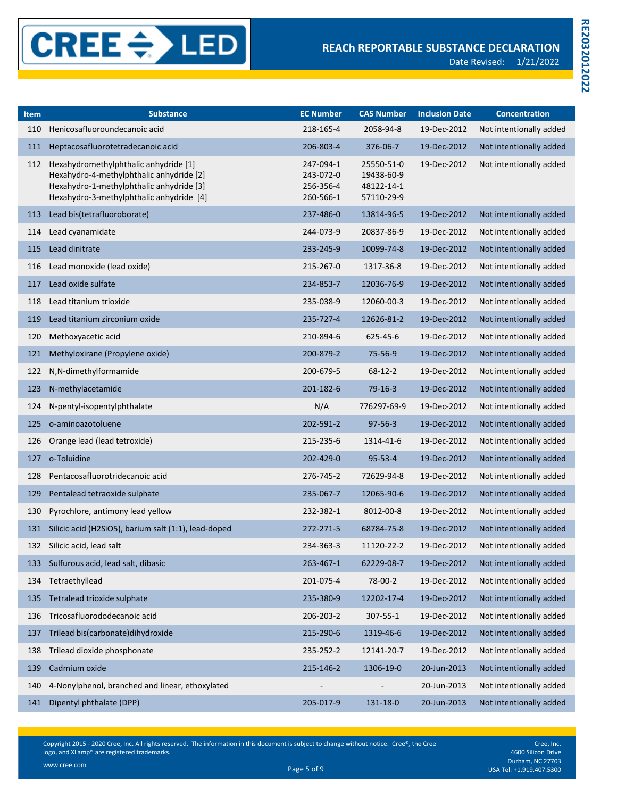| Item | <b>Substance</b>                                                                                                                                                          | <b>EC Number</b>                                 | <b>CAS Number</b>                                    | <b>Inclusion Date</b> | <b>Concentration</b>    |
|------|---------------------------------------------------------------------------------------------------------------------------------------------------------------------------|--------------------------------------------------|------------------------------------------------------|-----------------------|-------------------------|
| 110  | Henicosafluoroundecanoic acid                                                                                                                                             | 218-165-4                                        | 2058-94-8                                            | 19-Dec-2012           | Not intentionally added |
| 111  | Heptacosafluorotetradecanoic acid                                                                                                                                         | 206-803-4                                        | 376-06-7                                             | 19-Dec-2012           | Not intentionally added |
| 112  | Hexahydromethylphthalic anhydride [1]<br>Hexahydro-4-methylphthalic anhydride [2]<br>Hexahydro-1-methylphthalic anhydride [3]<br>Hexahydro-3-methylphthalic anhydride [4] | 247-094-1<br>243-072-0<br>256-356-4<br>260-566-1 | 25550-51-0<br>19438-60-9<br>48122-14-1<br>57110-29-9 | 19-Dec-2012           | Not intentionally added |
| 113  | Lead bis(tetrafluoroborate)                                                                                                                                               | 237-486-0                                        | 13814-96-5                                           | 19-Dec-2012           | Not intentionally added |
| 114  | Lead cyanamidate                                                                                                                                                          | 244-073-9                                        | 20837-86-9                                           | 19-Dec-2012           | Not intentionally added |
| 115  | Lead dinitrate                                                                                                                                                            | 233-245-9                                        | 10099-74-8                                           | 19-Dec-2012           | Not intentionally added |
| 116  | Lead monoxide (lead oxide)                                                                                                                                                | 215-267-0                                        | 1317-36-8                                            | 19-Dec-2012           | Not intentionally added |
| 117  | Lead oxide sulfate                                                                                                                                                        | 234-853-7                                        | 12036-76-9                                           | 19-Dec-2012           | Not intentionally added |
| 118  | Lead titanium trioxide                                                                                                                                                    | 235-038-9                                        | 12060-00-3                                           | 19-Dec-2012           | Not intentionally added |
| 119  | Lead titanium zirconium oxide                                                                                                                                             | 235-727-4                                        | 12626-81-2                                           | 19-Dec-2012           | Not intentionally added |
| 120  | Methoxyacetic acid                                                                                                                                                        | 210-894-6                                        | 625-45-6                                             | 19-Dec-2012           | Not intentionally added |
| 121  | Methyloxirane (Propylene oxide)                                                                                                                                           | 200-879-2                                        | 75-56-9                                              | 19-Dec-2012           | Not intentionally added |
| 122  | N,N-dimethylformamide                                                                                                                                                     | 200-679-5                                        | $68 - 12 - 2$                                        | 19-Dec-2012           | Not intentionally added |
| 123  | N-methylacetamide                                                                                                                                                         | 201-182-6                                        | $79-16-3$                                            | 19-Dec-2012           | Not intentionally added |
| 124  | N-pentyl-isopentylphthalate                                                                                                                                               | N/A                                              | 776297-69-9                                          | 19-Dec-2012           | Not intentionally added |
| 125  | o-aminoazotoluene                                                                                                                                                         | 202-591-2                                        | $97 - 56 - 3$                                        | 19-Dec-2012           | Not intentionally added |
| 126  | Orange lead (lead tetroxide)                                                                                                                                              | 215-235-6                                        | 1314-41-6                                            | 19-Dec-2012           | Not intentionally added |
| 127  | o-Toluidine                                                                                                                                                               | 202-429-0                                        | $95 - 53 - 4$                                        | 19-Dec-2012           | Not intentionally added |
| 128  | Pentacosafluorotridecanoic acid                                                                                                                                           | 276-745-2                                        | 72629-94-8                                           | 19-Dec-2012           | Not intentionally added |
| 129  | Pentalead tetraoxide sulphate                                                                                                                                             | 235-067-7                                        | 12065-90-6                                           | 19-Dec-2012           | Not intentionally added |
| 130  | Pyrochlore, antimony lead yellow                                                                                                                                          | 232-382-1                                        | 8012-00-8                                            | 19-Dec-2012           | Not intentionally added |
| 131  | Silicic acid (H2SiO5), barium salt (1:1), lead-doped                                                                                                                      | 272-271-5                                        | 68784-75-8                                           | 19-Dec-2012           | Not intentionally added |
| 132  | Silicic acid, lead salt                                                                                                                                                   | 234-363-3                                        | 11120-22-2                                           | 19-Dec-2012           | Not intentionally added |
| 133  | Sulfurous acid, lead salt, dibasic                                                                                                                                        | 263-467-1                                        | 62229-08-7                                           | 19-Dec-2012           | Not intentionally added |
| 134  | Tetraethyllead                                                                                                                                                            | 201-075-4                                        | 78-00-2                                              | 19-Dec-2012           | Not intentionally added |
| 135  | Tetralead trioxide sulphate                                                                                                                                               | 235-380-9                                        | 12202-17-4                                           | 19-Dec-2012           | Not intentionally added |
| 136  | Tricosafluorododecanoic acid                                                                                                                                              | 206-203-2                                        | 307-55-1                                             | 19-Dec-2012           | Not intentionally added |
| 137  | Trilead bis(carbonate)dihydroxide                                                                                                                                         | 215-290-6                                        | 1319-46-6                                            | 19-Dec-2012           | Not intentionally added |
| 138  | Trilead dioxide phosphonate                                                                                                                                               | 235-252-2                                        | 12141-20-7                                           | 19-Dec-2012           | Not intentionally added |
| 139  | Cadmium oxide                                                                                                                                                             | 215-146-2                                        | 1306-19-0                                            | 20-Jun-2013           | Not intentionally added |
| 140  | 4-Nonylphenol, branched and linear, ethoxylated                                                                                                                           |                                                  |                                                      | 20-Jun-2013           | Not intentionally added |
| 141  | Dipentyl phthalate (DPP)                                                                                                                                                  | 205-017-9                                        | 131-18-0                                             | 20-Jun-2013           | Not intentionally added |

Cree, Inc. 4600 Silicon Drive Durham, NC 27703 Page 5 of 9 USA Tel: +1.919.407.5300 www.cree.com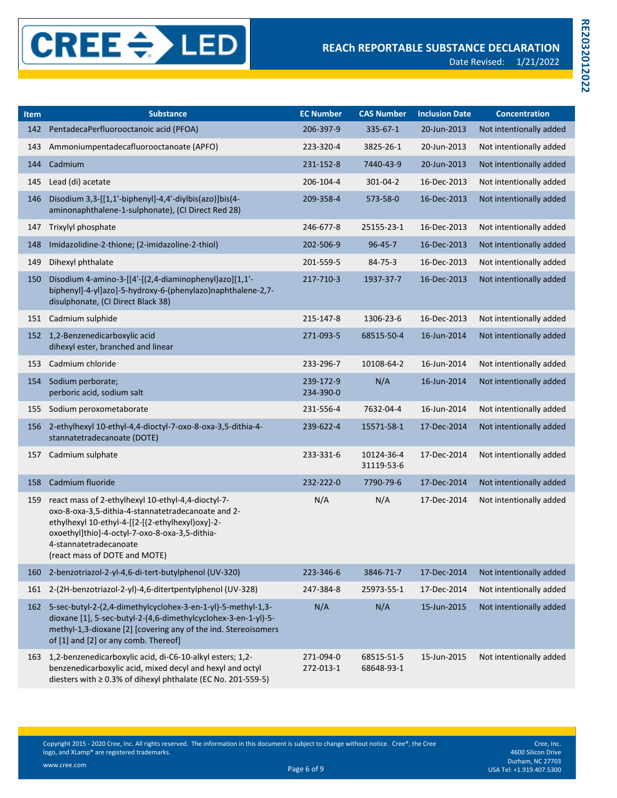**RE2032012022**

RE2032012022

| <b>Item</b> | <b>Substance</b>                                                                                                                                                                                                                                                          | <b>EC Number</b>       | <b>CAS Number</b>        | <b>Inclusion Date</b> | <b>Concentration</b>    |
|-------------|---------------------------------------------------------------------------------------------------------------------------------------------------------------------------------------------------------------------------------------------------------------------------|------------------------|--------------------------|-----------------------|-------------------------|
| 142         | PentadecaPerfluorooctanoic acid (PFOA)                                                                                                                                                                                                                                    | 206-397-9              | $335 - 67 - 1$           | 20-Jun-2013           | Not intentionally added |
| 143         | Ammoniumpentadecafluorooctanoate (APFO)                                                                                                                                                                                                                                   | 223-320-4              | 3825-26-1                | 20-Jun-2013           | Not intentionally added |
| 144         | Cadmium                                                                                                                                                                                                                                                                   | 231-152-8              | 7440-43-9                | 20-Jun-2013           | Not intentionally added |
| 145         | Lead (di) acetate                                                                                                                                                                                                                                                         | 206-104-4              | 301-04-2                 | 16-Dec-2013           | Not intentionally added |
| 146         | Disodium 3,3-[[1,1'-biphenyl]-4,4'-diylbis(azo)]bis(4-<br>aminonaphthalene-1-sulphonate), (CI Direct Red 28)                                                                                                                                                              | 209-358-4              | 573-58-0                 | 16-Dec-2013           | Not intentionally added |
| 147         | Trixylyl phosphate                                                                                                                                                                                                                                                        | 246-677-8              | 25155-23-1               | 16-Dec-2013           | Not intentionally added |
| 148         | Imidazolidine-2-thione; (2-imidazoline-2-thiol)                                                                                                                                                                                                                           | 202-506-9              | $96 - 45 - 7$            | 16-Dec-2013           | Not intentionally added |
| 149         | Dihexyl phthalate                                                                                                                                                                                                                                                         | 201-559-5              | 84-75-3                  | 16-Dec-2013           | Not intentionally added |
| 150         | Disodium 4-amino-3-[[4'-[(2,4-diaminophenyl)azo][1,1'-<br>biphenyl]-4-yl]azo]-5-hydroxy-6-(phenylazo)naphthalene-2,7-<br>disulphonate, (CI Direct Black 38)                                                                                                               | 217-710-3              | 1937-37-7                | 16-Dec-2013           | Not intentionally added |
| 151         | Cadmium sulphide                                                                                                                                                                                                                                                          | 215-147-8              | 1306-23-6                | 16-Dec-2013           | Not intentionally added |
|             | 152 1,2-Benzenedicarboxylic acid<br>dihexyl ester, branched and linear                                                                                                                                                                                                    | 271-093-5              | 68515-50-4               | 16-Jun-2014           | Not intentionally added |
| 153         | Cadmium chloride                                                                                                                                                                                                                                                          | 233-296-7              | 10108-64-2               | 16-Jun-2014           | Not intentionally added |
| 154         | Sodium perborate;<br>perboric acid, sodium salt                                                                                                                                                                                                                           | 239-172-9<br>234-390-0 | N/A                      | 16-Jun-2014           | Not intentionally added |
| 155         | Sodium peroxometaborate                                                                                                                                                                                                                                                   | 231-556-4              | 7632-04-4                | 16-Jun-2014           | Not intentionally added |
| 156         | 2-ethylhexyl 10-ethyl-4,4-dioctyl-7-oxo-8-oxa-3,5-dithia-4-<br>stannatetradecanoate (DOTE)                                                                                                                                                                                | 239-622-4              | 15571-58-1               | 17-Dec-2014           | Not intentionally added |
| 157         | Cadmium sulphate                                                                                                                                                                                                                                                          | 233-331-6              | 10124-36-4<br>31119-53-6 | 17-Dec-2014           | Not intentionally added |
| 158         | Cadmium fluoride                                                                                                                                                                                                                                                          | 232-222-0              | 7790-79-6                | 17-Dec-2014           | Not intentionally added |
| 159         | react mass of 2-ethylhexyl 10-ethyl-4,4-dioctyl-7-<br>oxo-8-oxa-3,5-dithia-4-stannatetradecanoate and 2-<br>ethylhexyl 10-ethyl-4-[[2-[(2-ethylhexyl)oxy]-2-<br>oxoethyl]thio]-4-octyl-7-oxo-8-oxa-3,5-dithia-<br>4-stannatetradecanoate<br>(react mass of DOTE and MOTE) | N/A                    | N/A                      | 17-Dec-2014           | Not intentionally added |
| 160         | 2-benzotriazol-2-yl-4,6-di-tert-butylphenol (UV-320)                                                                                                                                                                                                                      | 223-346-6              | 3846-71-7                | 17-Dec-2014           | Not intentionally added |
| 161         | 2-(2H-benzotriazol-2-yl)-4,6-ditertpentylphenol (UV-328)                                                                                                                                                                                                                  | 247-384-8              | 25973-55-1               | 17-Dec-2014           | Not intentionally added |
|             | 162 5-sec-butyl-2-(2,4-dimethylcyclohex-3-en-1-yl)-5-methyl-1,3-<br>dioxane [1], 5-sec-butyl-2-(4,6-dimethylcyclohex-3-en-1-yl)-5-<br>methyl-1,3-dioxane [2] [covering any of the ind. Stereoisomers<br>of [1] and [2] or any comb. Thereof]                              | N/A                    | N/A                      | 15-Jun-2015           | Not intentionally added |
| 163         | 1,2-benzenedicarboxylic acid, di-C6-10-alkyl esters; 1,2-<br>benzenedicarboxylic acid, mixed decyl and hexyl and octyl<br>diesters with ≥ 0.3% of dihexyl phthalate (EC No. 201-559-5)                                                                                    | 271-094-0<br>272-013-1 | 68515-51-5<br>68648-93-1 | 15-Jun-2015           | Not intentionally added |

Copyright 2015 - 2020 Cree, Inc. All rights reserved. The information in this document is subject to change without notice. Cree®, the Cree logo, and XLamp® are registered trademarks.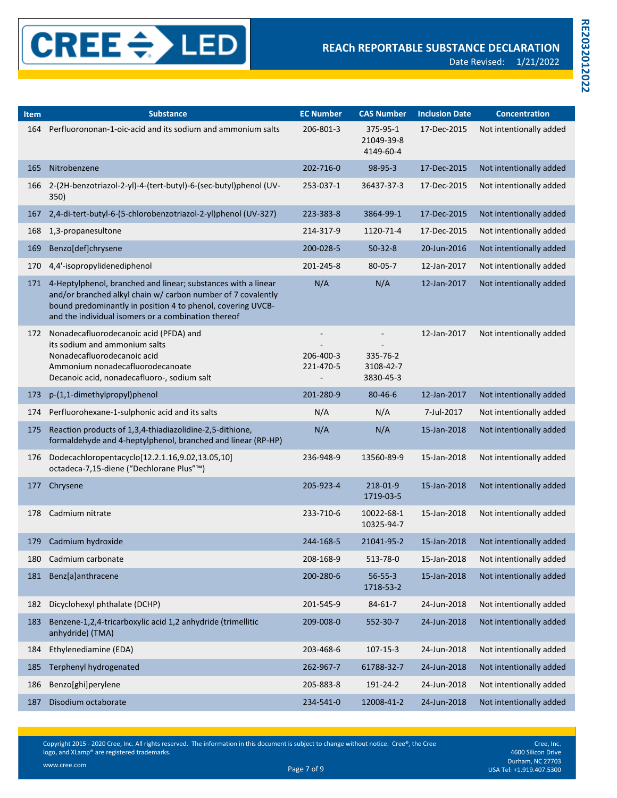| <b>Item</b> | <b>Substance</b>                                                                                                                                                                                                                                    | <b>EC Number</b>       | <b>CAS Number</b>                                              | <b>Inclusion Date</b> | <b>Concentration</b>    |
|-------------|-----------------------------------------------------------------------------------------------------------------------------------------------------------------------------------------------------------------------------------------------------|------------------------|----------------------------------------------------------------|-----------------------|-------------------------|
| 164         | Perfluorononan-1-oic-acid and its sodium and ammonium salts                                                                                                                                                                                         | 206-801-3              | 375-95-1<br>21049-39-8<br>4149-60-4                            | 17-Dec-2015           | Not intentionally added |
| 165         | Nitrobenzene                                                                                                                                                                                                                                        | 202-716-0              | 98-95-3                                                        | 17-Dec-2015           | Not intentionally added |
| 166         | 2-(2H-benzotriazol-2-yl)-4-(tert-butyl)-6-(sec-butyl)phenol (UV-<br>350)                                                                                                                                                                            | 253-037-1              | 36437-37-3                                                     | 17-Dec-2015           | Not intentionally added |
| 167         | 2,4-di-tert-butyl-6-(5-chlorobenzotriazol-2-yl)phenol (UV-327)                                                                                                                                                                                      | 223-383-8              | 3864-99-1                                                      | 17-Dec-2015           | Not intentionally added |
| 168         | 1,3-propanesultone                                                                                                                                                                                                                                  | 214-317-9              | 1120-71-4                                                      | 17-Dec-2015           | Not intentionally added |
| 169         | Benzo[def]chrysene                                                                                                                                                                                                                                  | 200-028-5              | $50 - 32 - 8$                                                  | 20-Jun-2016           | Not intentionally added |
| 170         | 4,4'-isopropylidenediphenol                                                                                                                                                                                                                         | 201-245-8              | 80-05-7                                                        | 12-Jan-2017           | Not intentionally added |
| 171         | 4-Heptylphenol, branched and linear; substances with a linear<br>and/or branched alkyl chain w/ carbon number of 7 covalently<br>bound predominantly in position 4 to phenol, covering UVCB-<br>and the individual isomers or a combination thereof | N/A                    | N/A                                                            | 12-Jan-2017           | Not intentionally added |
| 172         | Nonadecafluorodecanoic acid (PFDA) and<br>its sodium and ammonium salts<br>Nonadecafluorodecanoic acid<br>Ammonium nonadecafluorodecanoate<br>Decanoic acid, nonadecafluoro-, sodium salt                                                           | 206-400-3<br>221-470-5 | $\overline{\phantom{a}}$<br>335-76-2<br>3108-42-7<br>3830-45-3 | 12-Jan-2017           | Not intentionally added |
| 173         | p-(1,1-dimethylpropyl)phenol                                                                                                                                                                                                                        | 201-280-9              | $80 - 46 - 6$                                                  | 12-Jan-2017           | Not intentionally added |
| 174         | Perfluorohexane-1-sulphonic acid and its salts                                                                                                                                                                                                      | N/A                    | N/A                                                            | 7-Jul-2017            | Not intentionally added |
| 175         | Reaction products of 1,3,4-thiadiazolidine-2,5-dithione,<br>formaldehyde and 4-heptylphenol, branched and linear (RP-HP)                                                                                                                            | N/A                    | N/A                                                            | 15-Jan-2018           | Not intentionally added |
| 176         | Dodecachloropentacyclo[12.2.1.16,9.02,13.05,10]<br>octadeca-7,15-diene ("Dechlorane Plus"™)                                                                                                                                                         | 236-948-9              | 13560-89-9                                                     | 15-Jan-2018           | Not intentionally added |
| 177         | Chrysene                                                                                                                                                                                                                                            | 205-923-4              | 218-01-9<br>1719-03-5                                          | 15-Jan-2018           | Not intentionally added |
| 178         | Cadmium nitrate                                                                                                                                                                                                                                     | 233-710-6              | 10022-68-1<br>10325-94-7                                       | 15-Jan-2018           | Not intentionally added |
| 179         | Cadmium hydroxide                                                                                                                                                                                                                                   | 244-168-5              | 21041-95-2                                                     | 15-Jan-2018           | Not intentionally added |
|             | 180 Cadmium carbonate                                                                                                                                                                                                                               | 208-168-9              | 513-78-0                                                       | 15-Jan-2018           | Not intentionally added |
| 181         | Benz[a]anthracene                                                                                                                                                                                                                                   | 200-280-6              | $56 - 55 - 3$<br>1718-53-2                                     | 15-Jan-2018           | Not intentionally added |
| 182         | Dicyclohexyl phthalate (DCHP)                                                                                                                                                                                                                       | 201-545-9              | $84 - 61 - 7$                                                  | 24-Jun-2018           | Not intentionally added |
| 183         | Benzene-1,2,4-tricarboxylic acid 1,2 anhydride (trimellitic<br>anhydride) (TMA)                                                                                                                                                                     | 209-008-0              | 552-30-7                                                       | 24-Jun-2018           | Not intentionally added |
| 184         | Ethylenediamine (EDA)                                                                                                                                                                                                                               | 203-468-6              | $107 - 15 - 3$                                                 | 24-Jun-2018           | Not intentionally added |
| 185         | Terphenyl hydrogenated                                                                                                                                                                                                                              | 262-967-7              | 61788-32-7                                                     | 24-Jun-2018           | Not intentionally added |
| 186         | Benzo[ghi]perylene                                                                                                                                                                                                                                  | 205-883-8              | 191-24-2                                                       | 24-Jun-2018           | Not intentionally added |
| 187         | Disodium octaborate                                                                                                                                                                                                                                 | 234-541-0              | 12008-41-2                                                     | 24-Jun-2018           | Not intentionally added |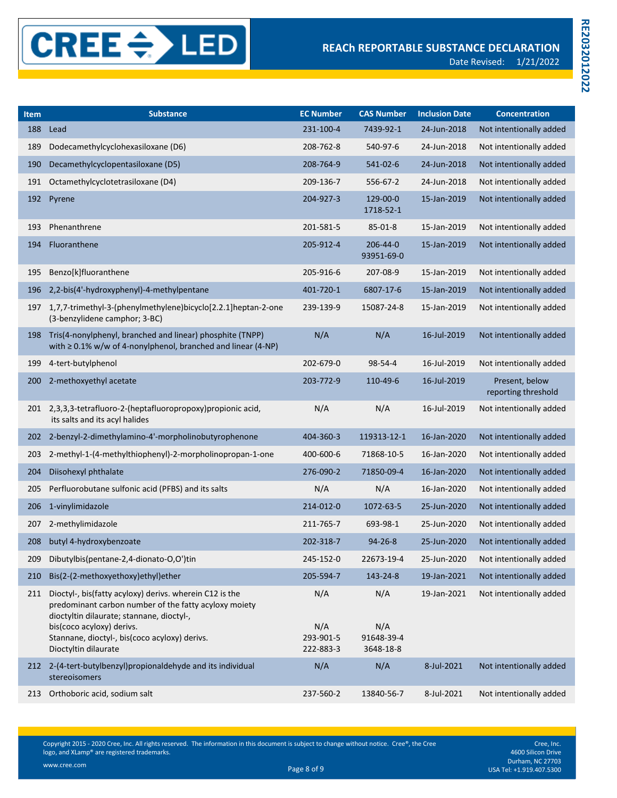| <b>Item</b> | <b>Substance</b>                                                                                                                                                                                                                                                    | <b>EC Number</b>                     | <b>CAS Number</b>                     | <b>Inclusion Date</b> | <b>Concentration</b>                  |
|-------------|---------------------------------------------------------------------------------------------------------------------------------------------------------------------------------------------------------------------------------------------------------------------|--------------------------------------|---------------------------------------|-----------------------|---------------------------------------|
| 188         | Lead                                                                                                                                                                                                                                                                | 231-100-4                            | 7439-92-1                             | 24-Jun-2018           | Not intentionally added               |
| 189         | Dodecamethylcyclohexasiloxane (D6)                                                                                                                                                                                                                                  | 208-762-8                            | 540-97-6                              | 24-Jun-2018           | Not intentionally added               |
| 190         | Decamethylcyclopentasiloxane (D5)                                                                                                                                                                                                                                   | 208-764-9                            | 541-02-6                              | 24-Jun-2018           | Not intentionally added               |
| 191         | Octamethylcyclotetrasiloxane (D4)                                                                                                                                                                                                                                   | 209-136-7                            | 556-67-2                              | 24-Jun-2018           | Not intentionally added               |
| 192         | Pyrene                                                                                                                                                                                                                                                              | 204-927-3                            | 129-00-0<br>1718-52-1                 | 15-Jan-2019           | Not intentionally added               |
| 193         | Phenanthrene                                                                                                                                                                                                                                                        | 201-581-5                            | 85-01-8                               | 15-Jan-2019           | Not intentionally added               |
| 194         | Fluoranthene                                                                                                                                                                                                                                                        | 205-912-4                            | 206-44-0<br>93951-69-0                | 15-Jan-2019           | Not intentionally added               |
| 195         | Benzo[k]fluoranthene                                                                                                                                                                                                                                                | 205-916-6                            | 207-08-9                              | 15-Jan-2019           | Not intentionally added               |
| 196         | 2,2-bis(4'-hydroxyphenyl)-4-methylpentane                                                                                                                                                                                                                           | 401-720-1                            | 6807-17-6                             | 15-Jan-2019           | Not intentionally added               |
| 197         | 1,7,7-trimethyl-3-(phenylmethylene)bicyclo[2.2.1]heptan-2-one<br>(3-benzylidene camphor; 3-BC)                                                                                                                                                                      | 239-139-9                            | 15087-24-8                            | 15-Jan-2019           | Not intentionally added               |
| 198         | Tris(4-nonylphenyl, branched and linear) phosphite (TNPP)<br>with $\geq$ 0.1% w/w of 4-nonylphenol, branched and linear (4-NP)                                                                                                                                      | N/A                                  | N/A                                   | 16-Jul-2019           | Not intentionally added               |
| 199         | 4-tert-butylphenol                                                                                                                                                                                                                                                  | 202-679-0                            | 98-54-4                               | 16-Jul-2019           | Not intentionally added               |
| 200         | 2-methoxyethyl acetate                                                                                                                                                                                                                                              | 203-772-9                            | 110-49-6                              | 16-Jul-2019           | Present, below<br>reporting threshold |
|             | 201 2,3,3,3-tetrafluoro-2-(heptafluoropropoxy) propionic acid,<br>its salts and its acyl halides                                                                                                                                                                    | N/A                                  | N/A                                   | 16-Jul-2019           | Not intentionally added               |
| 202         | 2-benzyl-2-dimethylamino-4'-morpholinobutyrophenone                                                                                                                                                                                                                 | 404-360-3                            | 119313-12-1                           | 16-Jan-2020           | Not intentionally added               |
| 203         | 2-methyl-1-(4-methylthiophenyl)-2-morpholinopropan-1-one                                                                                                                                                                                                            | 400-600-6                            | 71868-10-5                            | 16-Jan-2020           | Not intentionally added               |
| 204         | Diisohexyl phthalate                                                                                                                                                                                                                                                | 276-090-2                            | 71850-09-4                            | 16-Jan-2020           | Not intentionally added               |
| 205         | Perfluorobutane sulfonic acid (PFBS) and its salts                                                                                                                                                                                                                  | N/A                                  | N/A                                   | 16-Jan-2020           | Not intentionally added               |
| 206         | 1-vinylimidazole                                                                                                                                                                                                                                                    | 214-012-0                            | 1072-63-5                             | 25-Jun-2020           | Not intentionally added               |
| 207         | 2-methylimidazole                                                                                                                                                                                                                                                   | 211-765-7                            | 693-98-1                              | 25-Jun-2020           | Not intentionally added               |
| 208         | butyl 4-hydroxybenzoate                                                                                                                                                                                                                                             | 202-318-7                            | $94 - 26 - 8$                         | 25-Jun-2020           | Not intentionally added               |
| 209         | Dibutylbis(pentane-2,4-dionato-O,O')tin                                                                                                                                                                                                                             | 245-152-0                            | 22673-19-4                            | 25-Jun-2020           | Not intentionally added               |
| 210         | Bis(2-(2-methoxyethoxy)ethyl)ether                                                                                                                                                                                                                                  | 205-594-7                            | 143-24-8                              | 19-Jan-2021           | Not intentionally added               |
| 211         | Dioctyl-, bis(fatty acyloxy) derivs. wherein C12 is the<br>predominant carbon number of the fatty acyloxy moiety<br>dioctyltin dilaurate; stannane, dioctyl-,<br>bis(coco acyloxy) derivs.<br>Stannane, dioctyl-, bis(coco acyloxy) derivs.<br>Dioctyltin dilaurate | N/A<br>N/A<br>293-901-5<br>222-883-3 | N/A<br>N/A<br>91648-39-4<br>3648-18-8 | 19-Jan-2021           | Not intentionally added               |
|             | 212 2-(4-tert-butylbenzyl) propional dehy de and its individual<br>stereoisomers                                                                                                                                                                                    | N/A                                  | N/A                                   | 8-Jul-2021            | Not intentionally added               |
| 213         | Orthoboric acid, sodium salt                                                                                                                                                                                                                                        | 237-560-2                            | 13840-56-7                            | 8-Jul-2021            | Not intentionally added               |

Cree, Inc. 4600 Silicon Drive Durham, NC 27703 Page 8 of 9 USA Tel: +1.919.407.5300 www.cree.com